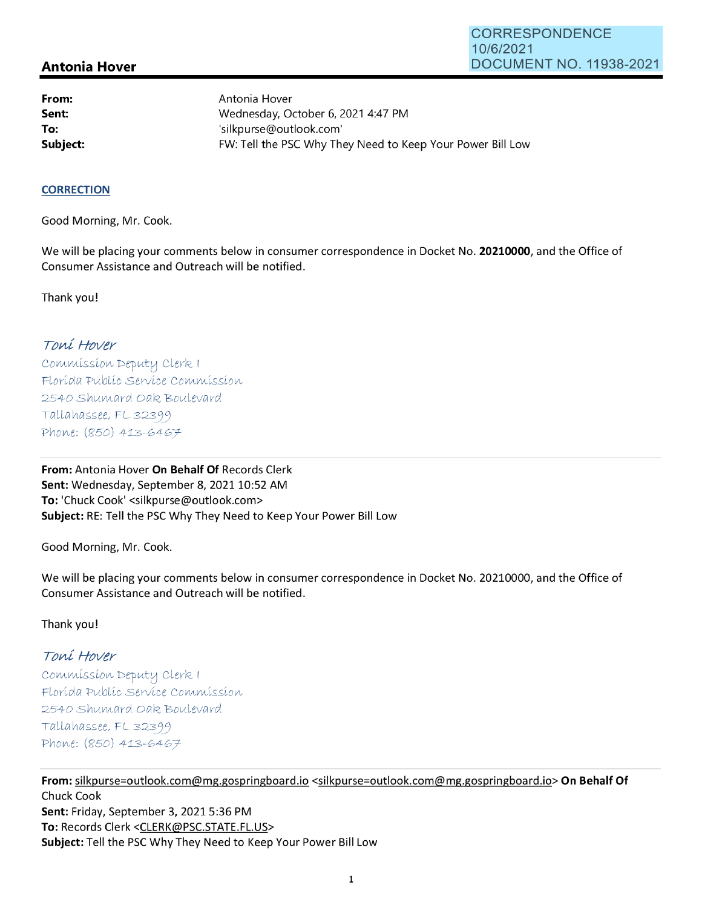# **Antonia Hover**

**From: Sent: To:** 

Antonia Hover Wednesday, October 6, 2021 4:47 PM 'silkpurse@outlook.com' **Subject: EXALG:** FW: Tell the PSC Why They Need to Keep Your Power Bill Low

#### **CORRECTION**

Good Morning, Mr. Cook.

We will be placing your comments below in consumer correspondence in Docket No. **20210000,** and the Office of Consumer Assistance and Outreach will be notified.

Thank you!

## Toní Hover

Commission Deputy Clerk I Florída Publíc Service Commission 2540 Shumard Oak Boulevard  $Tallahasse, FL 32399$ Phone: (850) 413-6467

**From:** Antonia Hover **On Behalf Of** Records Clerk Sent: Wednesday, September 8, 2021 10:52 AM **To:** 'Chuck Cook' <silkpurse@outlook.com> **Subject:** RE: Tell the PSC Why They Need to Keep Your Power Bill Low

Good Morning, Mr. Cook.

We will be placing your comments below in consumer correspondence in Docket No. 20210000, and the Office of Consumer Assistance and Outreach will be notified.

#### Thank you!

## Toní Hover

Commission Deputy Clerk I Florída Publíc Servíce Commission 2540 Shumard Oak Boulevard  $Tallahassee, FLS2399$ Phone: (850) 413-6467

**From:** silkpurse=outlook.com@mg.gospringboard.io <silkpurse=outlook.com@mg.gospringboard.io> **On Behalf Of**  Chuck Cook **Sent:** Friday, September 3, 2021 5:36 PM **To:** Records Clerk <CLERK@PSC.STATE.FL.US> **Subject:** Tell the PSC Why They Need to Keep Your Power Bill Low